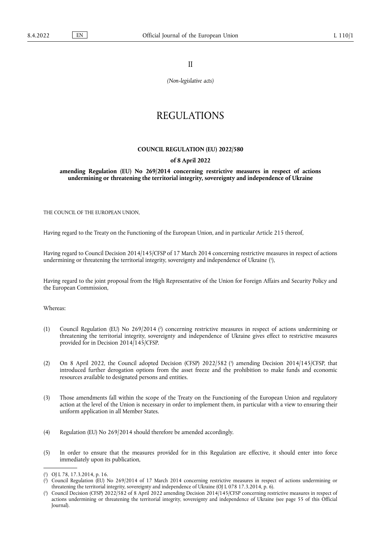II

*(Non-legislative acts)*

## REGULATIONS

## **COUNCIL REGULATION (EU) 2022/580**

## **of 8 April 2022**

**amending Regulation (EU) No 269/2014 concerning restrictive measures in respect of actions undermining or threatening the territorial integrity, sovereignty and independence of Ukraine** 

THE COUNCIL OF THE EUROPEAN UNION,

Having regard to the Treaty on the Functioning of the European Union, and in particular Article 215 thereof,

<span id="page-0-3"></span>Having regard to Council Decision 2014/145/CFSP of 17 March 2014 concerning restrictive measures in respect of actions undermining or threatening the territorial integrity, sovereignty and independence of Ukraine ('[\),](#page-0-0)

Having regard to the joint proposal from the High Representative of the Union for Foreign Affairs and Security Policy and the European Commission,

Whereas:

- <span id="page-0-4"></span>(1[\)](#page-0-1) Council Regulation (EU) No 269/2014 (?) concerning restrictive measures in respect of actions undermining or threatening the territorial integrity, sovereignty and independence of Ukraine gives effect to restrictive measures provided for in Decision 2014/145/CFSP.
- <span id="page-0-5"></span>(2) On 8 April 2022, the Council adopted Decision (CFSP) 2022/582 [\(](#page-0-2) 3 ) amending Decision 2014/145/CFSP, that introduced further derogation options from the asset freeze and the prohibition to make funds and economic resources available to designated persons and entities.
- (3) Those amendments fall within the scope of the Treaty on the Functioning of the European Union and regulatory action at the level of the Union is necessary in order to implement them, in particular with a view to ensuring their uniform application in all Member States.
- (4) Regulation (EU) No 269/2014 should therefore be amended accordingly.
- (5) In order to ensure that the measures provided for in this Regulation are effective, it should enter into force immediately upon its publication,

<span id="page-0-0"></span>[<sup>\(</sup>](#page-0-3) 1 ) OJ L 78, 17.3.2014, p. 16.

<span id="page-0-1"></span>[<sup>\(</sup>](#page-0-4) 2 ) Council Regulation (EU) No 269/2014 of 17 March 2014 concerning restrictive measures in respect of actions undermining or threatening the territorial integrity, sovereignty and independence of Ukraine (OJ L 078 17.3.2014, p. 6).

<span id="page-0-2"></span>[<sup>\(</sup>](#page-0-5) 3 ) Council Decision (CFSP) 2022/582 of 8 April 2022 amending Decision 2014/145/CFSP concerning restrictive measures in respect of actions undermining or threatening the territorial integrity, sovereignty and independence of Ukraine (see page 55 of this Official Journal).